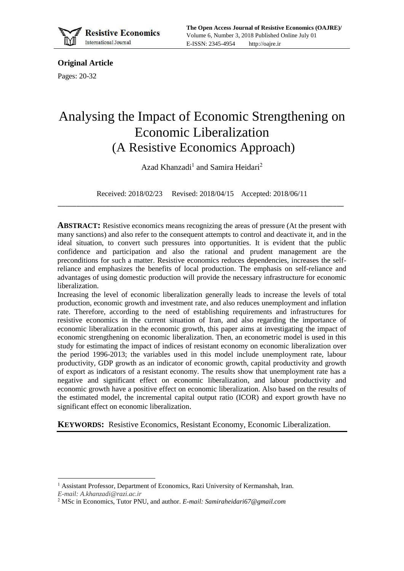

**Original Article** Pages: 20-32

1

# Analysing the Impact of Economic Strengthening on Economic Liberalization (A Resistive Economics Approach)

Azad Khanzadi<sup>1</sup> and Samira Heidari<sup>2</sup>

Received: 2018/02/23 Revised: 2018/04/15 Accepted: 2018/06/11 \_\_\_\_\_\_\_\_\_\_\_\_\_\_\_\_\_\_\_\_\_\_\_\_\_\_\_\_\_\_\_\_\_\_\_\_\_\_\_\_\_\_\_\_\_\_\_\_\_\_\_\_\_\_\_\_\_\_\_\_\_\_\_\_\_\_\_\_\_\_\_\_\_\_\_\_\_

**ABSTRACT:** Resistive economics means recognizing the areas of pressure (At the present with many sanctions) and also refer to the consequent attempts to control and deactivate it, and in the ideal situation, to convert such pressures into opportunities. It is evident that the public confidence and participation and also the rational and prudent management are the preconditions for such a matter. Resistive economics reduces dependencies, increases the selfreliance and emphasizes the benefits of local production. The emphasis on self-reliance and advantages of using domestic production will provide the necessary infrastructure for economic liberalization.

Increasing the level of economic liberalization generally leads to increase the levels of total production, economic growth and investment rate, and also reduces unemployment and inflation rate. Therefore, according to the need of establishing requirements and infrastructures for resistive economics in the current situation of Iran, and also regarding the importance of economic liberalization in the economic growth, this paper aims at investigating the impact of economic strengthening on economic liberalization. Then, an econometric model is used in this study for estimating the impact of indices of resistant economy on economic liberalization over the period 1996-2013; the variables used in this model include unemployment rate, labour productivity, GDP growth as an indicator of economic growth, capital productivity and growth of export as indicators of a resistant economy. The results show that unemployment rate has a negative and significant effect on economic liberalization, and labour productivity and economic growth have a positive effect on economic liberalization. Also based on the results of the estimated model, the incremental capital output ratio (ICOR) and export growth have no significant effect on economic liberalization.

**KEYWORDS:** Resistive Economics, Resistant Economy, Economic Liberalization.

<sup>&</sup>lt;sup>1</sup> Assistant Professor, Department of Economics, Razi University of Kermanshah, Iran. *E-mail: [A.khanzadi@razi.ac.ir](mailto:A.khanzadi@razi.ac.ir)*

<sup>2</sup> MSc in Economics, Tutor PNU, and author. *E-mail: Samiraheidari67@gmail.com*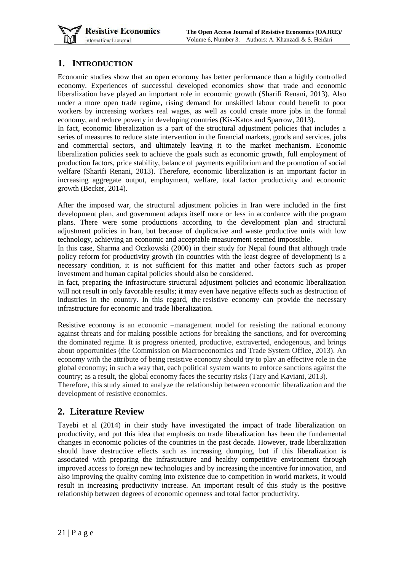## **1. INTRODUCTION**

Economic studies show that an open economy has better performance than a highly controlled economy. Experiences of successful developed economics show that trade and economic liberalization have played an important role in economic growth (Sharifi Renani, 2013). Also under a more open trade regime, rising demand for unskilled labour could benefit to poor workers by increasing workers real wages, as well as could create more jobs in the formal economy, and reduce poverty in developing countries (Kis-Katos and Sparrow, 2013).

In fact, economic liberalization is a part of the structural adjustment policies that includes a series of measures to reduce state intervention in the financial markets, goods and services, jobs and commercial sectors, and ultimately leaving it to the market mechanism. Economic liberalization policies seek to achieve the goals such as economic growth, full employment of production factors, price stability, balance of payments equilibrium and the promotion of social welfare (Sharifi Renani, 2013). Therefore, economic liberalization is an important factor in increasing aggregate output, employment, welfare, total factor productivity and economic growth (Becker, 2014).

After the imposed war, the structural adjustment policies in Iran were included in the first development plan, and government adapts itself more or less in accordance with the program plans. There were some productions according to the development plan and structural adjustment policies in Iran, but because of duplicative and waste productive units with low technology, achieving an economic and acceptable measurement seemed impossible.

In this case, Sharma and Oczkowski (2000) in their study for Nepal found that although trade policy reform for productivity growth (in countries with the least degree of development) is a necessary condition, it is not sufficient for this matter and other factors such as proper investment and human capital policies should also be considered.

In fact, preparing the infrastructure structural adjustment policies and economic liberalization will not result in only favorable results; it may even have negative effects such as destruction of industries in the country. In this regard, the resistive economy can provide the necessary infrastructure for economic and trade liberalization.

Resistive economy is an economic –management model for resisting the national economy against threats and for making possible actions for breaking the sanctions, and for overcoming the dominated regime. It is progress oriented, productive, extraverted, endogenous, and brings about opportunities (the Commission on Macroeconomics and Trade System Office, 2013). An economy with the attribute of being resistive economy should try to play an effective role in the global economy; in such a way that, each political system wants to enforce sanctions against the country; as a result, the global economy faces the security risks (Tary and Kaviani, 2013).

Therefore, this study aimed to analyze the relationship between economic liberalization and the development of resistive economics.

# **2. Literature Review**

Tayebi et al (2014) in their study have investigated the impact of trade liberalization on productivity, and put this idea that emphasis on trade liberalization has been the fundamental changes in economic policies of the countries in the past decade. However, trade liberalization should have destructive effects such as increasing dumping, but if this liberalization is associated with preparing the infrastructure and healthy competitive environment through improved access to foreign new technologies and by increasing the incentive for innovation, and also improving the quality coming into existence due to competition in world markets, it would result in increasing productivity increase. An important result of this study is the positive relationship between degrees of economic openness and total factor productivity.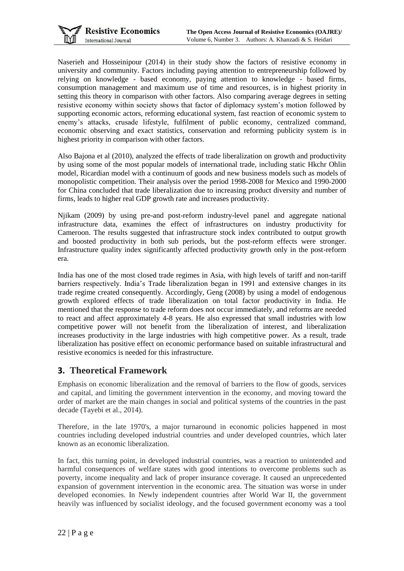

Naserieh and Hosseinipour (2014) in their study show the factors of resistive economy in university and community. Factors including paying attention to entrepreneurship followed by relying on knowledge - based economy, paying attention to knowledge - based firms, consumption management and maximum use of time and resources, is in highest priority in setting this theory in comparison with other factors. Also comparing average degrees in setting resistive economy within society shows that factor of diplomacy system's motion followed by supporting economic actors, reforming educational system, fast reaction of economic system to enemy's attacks, crusade lifestyle, fulfilment of public economy, centralized command, economic observing and exact statistics, conservation and reforming publicity system is in highest priority in comparison with other factors.

Also Bajona et al (2010), analyzed the effects of trade liberalization on growth and productivity by using some of the most popular models of international trade, including static Hkchr Ohlin model, Ricardian model with a continuum of goods and new business models such as models of monopolistic competition. Their analysis over the period 1998-2008 for Mexico and 1990-2000 for China concluded that trade liberalization due to increasing product diversity and number of firms, leads to higher real GDP growth rate and increases productivity.

Njikam (2009) by using pre-and post-reform industry-level panel and aggregate national infrastructure data, examines the effect of infrastructures on industry productivity for Cameroon. The results suggested that infrastructure stock index contributed to output growth and boosted productivity in both sub periods, but the post-reform effects were stronger. Infrastructure quality index significantly affected productivity growth only in the post-reform era.

India has one of the most closed trade regimes in Asia, with high levels of tariff and non-tariff barriers respectively. India's Trade liberalization began in 1991 and extensive changes in its trade regime created consequently. Accordingly, Geng (2008) by using a model of endogenous growth explored effects of trade liberalization on total factor productivity in India. He mentioned that the response to trade reform does not occur immediately, and reforms are needed to react and affect approximately 4-8 years. He also expressed that small industries with low competitive power will not benefit from the liberalization of interest, and liberalization increases productivity in the large industries with high competitive power. As a result, trade liberalization has positive effect on economic performance based on suitable infrastructural and resistive economics is needed for this infrastructure.

# **3. Theoretical Framework**

Emphasis on economic liberalization and the removal of barriers to the flow of goods, services and capital, and limiting the government intervention in the economy, and moving toward the order of market are the main changes in social and political systems of the countries in the past decade (Tayebi et al., 2014).

Therefore, in the late 1970's, a major turnaround in economic policies happened in most countries including developed industrial countries and under developed countries, which later known as an economic liberalization.

In fact, this turning point, in developed industrial countries, was a reaction to unintended and harmful consequences of welfare states with good intentions to overcome problems such as poverty, income inequality and lack of proper insurance coverage. It caused an unprecedented expansion of government intervention in the economic area. The situation was worse in under developed economies. In Newly independent countries after World War II, the government heavily was influenced by socialist ideology, and the focused government economy was a tool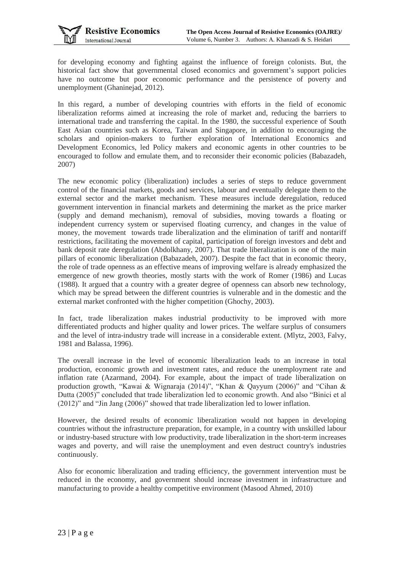for developing economy and fighting against the influence of foreign colonists. But, the historical fact show that governmental closed economics and government's support policies have no outcome but poor economic performance and the persistence of poverty and unemployment (Ghanineiad, 2012).

In this regard, a number of developing countries with efforts in the field of economic liberalization reforms aimed at increasing the role of market and, reducing the barriers to international trade and transferring the capital. In the 1980, the successful experience of South East Asian countries such as Korea, Taiwan and Singapore, in addition to encouraging the scholars and opinion-makers to further exploration of International Economics and Development Economics, led Policy makers and economic agents in other countries to be encouraged to follow and emulate them, and to reconsider their economic policies (Babazadeh, 2007)

The new economic policy (liberalization) includes a series of steps to reduce government control of the financial markets, goods and services, labour and eventually delegate them to the external sector and the market mechanism. These measures include deregulation, reduced government intervention in financial markets and determining the market as the price marker (supply and demand mechanism), removal of subsidies, moving towards a floating or independent currency system or supervised floating currency, and changes in the value of money, the movement towards trade liberalization and the elimination of tariff and nontariff restrictions, facilitating the movement of capital, participation of foreign investors and debt and bank deposit rate deregulation (Abdolkhany, 2007). That trade liberalization is one of the main pillars of economic liberalization (Babazadeh, 2007). Despite the fact that in economic theory, the role of trade openness as an effective means of improving welfare is already emphasized the emergence of new growth theories, mostly starts with the work of Romer (1986) and Lucas (1988). It argued that a country with a greater degree of openness can absorb new technology, which may be spread between the different countries is vulnerable and in the domestic and the external market confronted with the higher competition (Ghochy, 2003).

In fact, trade liberalization makes industrial productivity to be improved with more differentiated products and higher quality and lower prices. The welfare surplus of consumers and the level of intra-industry trade will increase in a considerable extent. (Mlytz, 2003, Falvy, 1981 and Balassa, 1996).

The overall increase in the level of economic liberalization leads to an increase in total production, economic growth and investment rates, and reduce the unemployment rate and inflation rate (Azarmand, 2004). For example, about the impact of trade liberalization on production growth, "Kawai & Wignaraja (2014)", "Khan & Qayyum (2006)" and "Cihan & Dutta (2005)" concluded that trade liberalization led to economic growth. And also "Binici et al (2012)" and "Jin Jang (2006)" showed that trade liberalization led to lower inflation.

However, the desired results of economic liberalization would not happen in developing countries without the infrastructure preparation, for example, in a country with unskilled labour or industry-based structure with low productivity, trade liberalization in the short-term increases wages and poverty, and will raise the unemployment and even destruct country's industries continuously.

Also for economic liberalization and trading efficiency, the government intervention must be reduced in the economy, and government should increase investment in infrastructure and manufacturing to provide a healthy competitive environment (Masood Ahmed, 2010)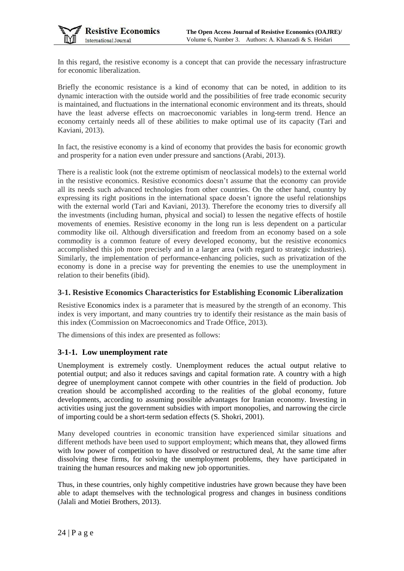In this regard, the resistive economy is a concept that can provide the necessary infrastructure for economic liberalization.

Briefly the economic resistance is a kind of economy that can be noted, in addition to its dynamic interaction with the outside world and the possibilities of free trade economic security is maintained, and fluctuations in the international economic environment and its threats, should have the least adverse effects on macroeconomic variables in long-term trend. Hence an economy certainly needs all of these abilities to make optimal use of its capacity (Tari and Kaviani, 2013).

In fact, the resistive economy is a kind of economy that provides the basis for economic growth and prosperity for a nation even under pressure and sanctions (Arabi, 2013).

There is a realistic look (not the extreme optimism of neoclassical models) to the external world in the resistive economics. Resistive economics doesn't assume that the economy can provide all its needs such advanced technologies from other countries. On the other hand, country by expressing its right positions in the international space doesn't ignore the useful relationships with the external world (Tari and Kaviani, 2013). Therefore the economy tries to diversify all the investments (including human, physical and social) to lessen the negative effects of hostile movements of enemies. Resistive economy in the long run is less dependent on a particular commodity like oil. Although diversification and freedom from an economy based on a sole commodity is a common feature of every developed economy, but the resistive economics accomplished this job more precisely and in a larger area (with regard to strategic industries). Similarly, the implementation of performance-enhancing policies, such as privatization of the economy is done in a precise way for preventing the enemies to use the unemployment in relation to their benefits (ibid).

## **3-1. Resistive Economics Characteristics for Establishing Economic Liberalization**

Resistive Economics index is a parameter that is measured by the strength of an economy. This index is very important, and many countries try to identify their resistance as the main basis of this index (Commission on Macroeconomics and Trade Office, 2013).

The dimensions of this index are presented as follows:

## **3-1-1. Low unemployment rate**

Unemployment is extremely costly. Unemployment reduces the actual output relative to potential output; and also it reduces savings and capital formation rate. A country with a high degree of unemployment cannot compete with other countries in the field of production. Job creation should be accomplished according to the realities of the global economy, future developments, according to assuming possible advantages for Iranian economy. Investing in activities using just the government subsidies with import monopolies, and narrowing the circle of importing could be a short-term sedation effects (S. Shokri, 2001).

Many developed countries in economic transition have experienced similar situations and different methods have been used to support employment; which means that, they allowed firms with low power of competition to have dissolved or restructured deal, At the same time after dissolving these firms, for solving the unemployment problems, they have participated in training the human resources and making new job opportunities.

Thus, in these countries, only highly competitive industries have grown because they have been able to adapt themselves with the technological progress and changes in business conditions (Jalali and Motiei Brothers, 2013).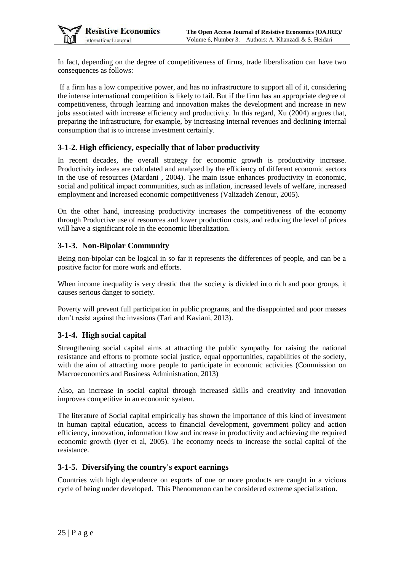In fact, depending on the degree of competitiveness of firms, trade liberalization can have two consequences as follows:

If a firm has a low competitive power, and has no infrastructure to support all of it, considering the intense international competition is likely to fail. But if the firm has an appropriate degree of competitiveness, through learning and innovation makes the development and increase in new jobs associated with increase efficiency and productivity. In this regard, Xu (2004) argues that, preparing the infrastructure, for example, by increasing internal revenues and declining internal consumption that is to increase investment certainly.

## **3-1-2. High efficiency, especially that of labor productivity**

In recent decades, the overall strategy for economic growth is productivity increase. Productivity indexes are calculated and analyzed by the efficiency of different economic sectors in the use of resources (Mardani , 2004). The main issue enhances productivity in economic, social and political impact communities, such as inflation, increased levels of welfare, increased employment and increased economic competitiveness (Valizadeh Zenour, 2005).

On the other hand, increasing productivity increases the competitiveness of the economy through Productive use of resources and lower production costs, and reducing the level of prices will have a significant role in the economic liberalization.

## **3-1-3. Non-Bipolar Community**

Being non-bipolar can be logical in so far it represents the differences of people, and can be a positive factor for more work and efforts.

When income inequality is very drastic that the society is divided into rich and poor groups, it causes serious danger to society.

Poverty will prevent full participation in public programs, and the disappointed and poor masses don't resist against the invasions (Tari and Kaviani, 2013).

## **3-1-4. High social capital**

Strengthening social capital aims at attracting the public sympathy for raising the national resistance and efforts to promote social justice, equal opportunities, capabilities of the society, with the aim of attracting more people to participate in economic activities (Commission on Macroeconomics and Business Administration, 2013)

Also, an increase in social capital through increased skills and creativity and innovation improves competitive in an economic system.

The literature of Social capital empirically has shown the importance of this kind of investment in human capital education, access to financial development, government policy and action efficiency, innovation, information flow and increase in productivity and achieving the required economic growth (Iyer et al, 2005). The economy needs to increase the social capital of the resistance.

## **3-1-5. Diversifying the country's export earnings**

Countries with high dependence on exports of one or more products are caught in a vicious cycle of being under developed. This Phenomenon can be considered extreme specialization.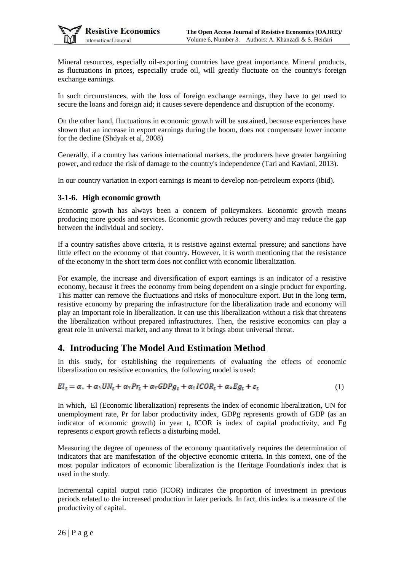Mineral resources, especially oil-exporting countries have great importance. Mineral products, as fluctuations in prices, especially crude oil, will greatly fluctuate on the country's foreign exchange earnings.

In such circumstances, with the loss of foreign exchange earnings, they have to get used to secure the loans and foreign aid; it causes severe dependence and disruption of the economy.

On the other hand, fluctuations in economic growth will be sustained, because experiences have shown that an increase in export earnings during the boom, does not compensate lower income for the decline (Shdyak et al, 2008)

Generally, if a country has various international markets, the producers have greater bargaining power, and reduce the risk of damage to the country's independence (Tari and Kaviani, 2013).

In our country variation in export earnings is meant to develop non-petroleum exports (ibid).

#### **3-1-6. High economic growth**

Economic growth has always been a concern of policymakers. Economic growth means producing more goods and services. Economic growth reduces poverty and may reduce the gap between the individual and society.

If a country satisfies above criteria, it is resistive against external pressure; and sanctions have little effect on the economy of that country. However, it is worth mentioning that the resistance of the economy in the short term does not conflict with economic liberalization.

For example, the increase and diversification of export earnings is an indicator of a resistive economy, because it frees the economy from being dependent on a single product for exporting. This matter can remove the fluctuations and risks of monoculture export. But in the long term, resistive economy by preparing the infrastructure for the liberalization trade and economy will play an important role in liberalization. It can use this liberalization without a risk that threatens the liberalization without prepared infrastructures. Then, the resistive economics can play a great role in universal market, and any threat to it brings about universal threat.

## **4. Introducing The Model And Estimation Method**

In this study, for establishing the requirements of evaluating the effects of economic liberalization on resistive economics, the following model is used:

$$
El_t = \alpha + \alpha_1 UN_t + \alpha_1 Pr_t + \alpha_1 GDP_t + \alpha_1 ICOR_t + \alpha_2 Eg_t + \varepsilon_t
$$
\n<sup>(1)</sup>

In which, El (Economic liberalization) represents the index of economic liberalization, UN for unemployment rate, Pr for labor productivity index, GDPg represents growth of GDP (as an indicator of economic growth) in year t, ICOR is index of capital productivity, and Eg represents ε export growth reflects a disturbing model.

Measuring the degree of openness of the economy quantitatively requires the determination of indicators that are manifestation of the objective economic criteria. In this context, one of the most popular indicators of economic liberalization is the Heritage Foundation's index that is used in the study.

Incremental capital output ratio (ICOR) indicates the proportion of investment in previous periods related to the increased production in later periods. In fact, this index is a measure of the productivity of capital.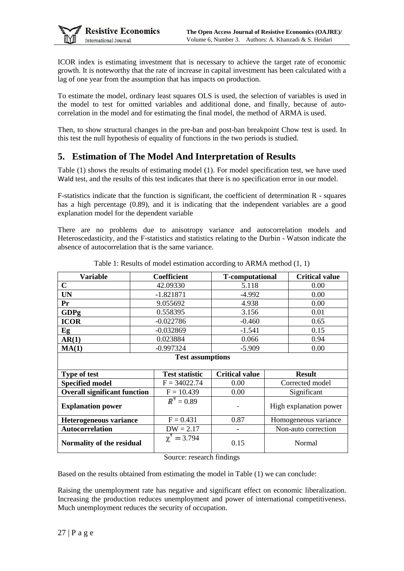ICOR index is estimating investment that is necessary to achieve the target rate of economic growth. It is noteworthy that the rate of increase in capital investment has been calculated with a lag of one year from the assumption that has impacts on production.

To estimate the model, ordinary least squares OLS is used, the selection of variables is used in the model to test for omitted variables and additional done, and finally, because of autocorrelation in the model and for estimating the final model, the method of ARMA is used.

Then, to show structural changes in the pre-ban and post-ban breakpoint Chow test is used. In this test the null hypothesis of equality of functions in the two periods is studied.

# **5. Estimation of The Model And Interpretation of Results**

Table (1) shows the results of estimating model (1). For model specification test, we have used Wald test, and the results of this test indicates that there is no specification error in our model.

F-statistics indicate that the function is significant, the coefficient of determination R - squares has a high percentage (0.89), and it is indicating that the independent variables are a good explanation model for the dependent variable

There are no problems due to anisotropy variance and autocorrelation models and Heteroscedasticity, and the F-statistics and statistics relating to the Durbin - Watson indicate the absence of autocorrelation that is the same variance.

| <b>Variable</b>                     |             | Coefficient            | <b>T-computational</b>   |                        | <b>Critical value</b> |  |  |  |
|-------------------------------------|-------------|------------------------|--------------------------|------------------------|-----------------------|--|--|--|
| $\mathbf C$                         | 42.09330    |                        | 5.118                    |                        | 0.00                  |  |  |  |
| <b>UN</b>                           | $-1.821871$ |                        | $-4.992$                 |                        | 0.00                  |  |  |  |
| Pr                                  | 9.055692    |                        | 4.938                    |                        | 0.00                  |  |  |  |
| <b>GDPg</b>                         | 0.558395    |                        | 3.156                    |                        | 0.01                  |  |  |  |
| <b>ICOR</b>                         | $-0.022786$ |                        | $-0.460$                 |                        | 0.65                  |  |  |  |
| Eg                                  | $-0.032869$ |                        | $-1.541$                 |                        | 0.15                  |  |  |  |
| AR(1)                               | 0.023884    |                        | 0.066                    |                        | 0.94                  |  |  |  |
| MA(1)                               | $-0.997324$ |                        | $-5.909$                 |                        | 0.00                  |  |  |  |
| <b>Test assumptions</b>             |             |                        |                          |                        |                       |  |  |  |
|                                     |             |                        |                          |                        |                       |  |  |  |
| <b>Type of test</b>                 |             | <b>Test statistic</b>  | <b>Critical value</b>    | <b>Result</b>          |                       |  |  |  |
| <b>Specified model</b>              |             | $F = 34022.74$         | 0.00                     | Corrected model        |                       |  |  |  |
| <b>Overall significant function</b> |             | $F = 10.439$           | 0.00                     | Significant            |                       |  |  |  |
| <b>Explanation power</b>            |             | $R^{\tau} = 0.89$      |                          | High explanation power |                       |  |  |  |
|                                     |             |                        |                          |                        |                       |  |  |  |
| Heterogeneous variance              |             | $F = 0.431$            | 0.87                     | Homogeneous variance   |                       |  |  |  |
| <b>Autocorrelation</b>              |             | $DW = 2.17$            | $\overline{\phantom{a}}$ | Non-auto correction    |                       |  |  |  |
| Normality of the residual           |             | $\chi^{\rm v} = 3.794$ | 0.15                     | Normal                 |                       |  |  |  |

Table 1: Results of model estimation according to ARMA method (1, 1)

Source: research findings

Based on the results obtained from estimating the model in Table (1) we can conclude:

Raising the unemployment rate has negative and significant effect on economic liberalization. Increasing the production reduces unemployment and power of international competitiveness. Much unemployment reduces the security of occupation.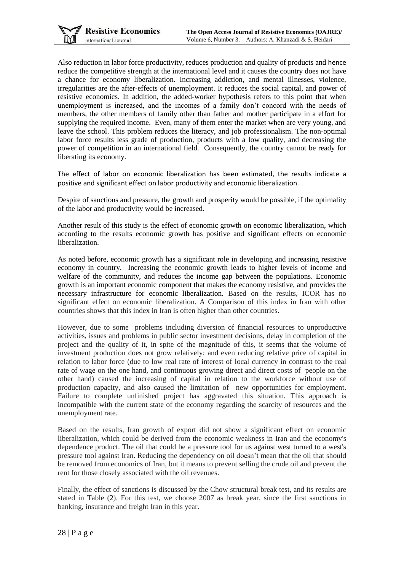Also reduction in labor force productivity, reduces production and quality of products and hence reduce the competitive strength at the international level and it causes the country does not have a chance for economy liberalization. Increasing addiction, and mental illnesses, violence, irregularities are the after-effects of unemployment. It reduces the social capital, and power of resistive economics. In addition, the added-worker hypothesis refers to this point that when unemployment is increased, and the incomes of a family don't concord with the needs of members, the other members of family other than father and mother participate in a effort for supplying the required income. Even, many of them enter the market when are very young, and leave the school. This problem reduces the literacy, and job professionalism. The non-optimal labor force results less grade of production, products with a low quality, and decreasing the power of competition in an international field. Consequently, the country cannot be ready for liberating its economy.

The effect of labor on economic liberalization has been estimated, the results indicate a positive and significant effect on labor productivity and economic liberalization.

Despite of sanctions and pressure, the growth and prosperity would be possible, if the optimality of the labor and productivity would be increased.

Another result of this study is the effect of economic growth on economic liberalization, which according to the results economic growth has positive and significant effects on economic liberalization.

As noted before, economic growth has a significant role in developing and increasing resistive economy in country. Increasing the economic growth leads to higher levels of income and welfare of the community, and reduces the income gap between the populations. Economic growth is an important economic component that makes the economy resistive, and provides the necessary infrastructure for economic liberalization. Based on the results, ICOR has no significant effect on economic liberalization. A Comparison of this index in Iran with other countries shows that this index in Iran is often higher than other countries.

However, due to some problems including diversion of financial resources to unproductive activities, issues and problems in public sector investment decisions, delay in completion of the project and the quality of it, in spite of the magnitude of this, it seems that the volume of investment production does not grow relatively; and even reducing relative price of capital in relation to labor force (due to low real rate of interest of local currency in contrast to the real rate of wage on the one hand, and continuous growing direct and direct costs of people on the other hand) caused the increasing of capital in relation to the workforce without use of production capacity, and also caused the limitation of new opportunities for employment. Failure to complete unfinished project has aggravated this situation. This approach is incompatible with the current state of the economy regarding the scarcity of resources and the unemployment rate.

Based on the results, Iran growth of export did not show a significant effect on economic liberalization, which could be derived from the economic weakness in Iran and the economy's dependence product. The oil that could be a pressure tool for us against west turned to a west's pressure tool against Iran. Reducing the dependency on oil doesn't mean that the oil that should be removed from economics of Iran, but it means to prevent selling the crude oil and prevent the rent for those closely associated with the oil revenues.

Finally, the effect of sanctions is discussed by the Chow structural break test, and its results are stated in Table (2). For this test, we choose 2007 as break year, since the first sanctions in banking, insurance and freight Iran in this year.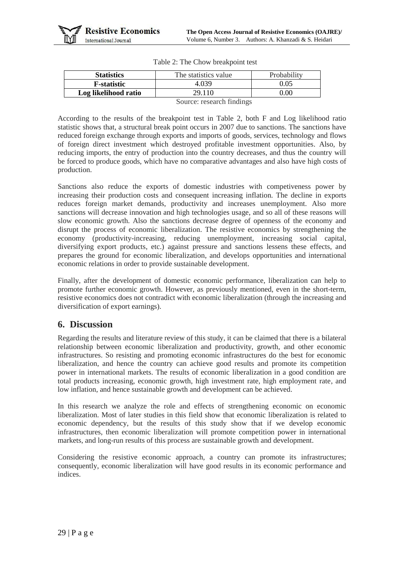| <b>Statistics</b>    | The statistics value | Probability |  |
|----------------------|----------------------|-------------|--|
| <b>F</b> -statistic  | 4.039                |             |  |
| Log likelihood ratio | 29.110               | 0.00        |  |
|                      | $\sim$<br>$ -$       |             |  |

|  |  |  | Table 2: The Chow breakpoint test |
|--|--|--|-----------------------------------|
|--|--|--|-----------------------------------|

Source: research findings

According to the results of the breakpoint test in Table 2, both F and Log likelihood ratio statistic shows that, a structural break point occurs in 2007 due to sanctions. The sanctions have reduced foreign exchange through exports and imports of goods, services, technology and flows of foreign direct investment which destroyed profitable investment opportunities. Also, by reducing imports, the entry of production into the country decreases, and thus the country will be forced to produce goods, which have no comparative advantages and also have high costs of production.

Sanctions also reduce the exports of domestic industries with competiveness power by increasing their production costs and consequent increasing inflation. The decline in exports reduces foreign market demands, productivity and increases unemployment. Also more sanctions will decrease innovation and high technologies usage, and so all of these reasons will slow economic growth. Also the sanctions decrease degree of openness of the economy and disrupt the process of economic liberalization. The resistive economics by strengthening the economy (productivity-increasing, reducing unemployment, increasing social capital, diversifying export products, etc.) against pressure and sanctions lessens these effects, and prepares the ground for economic liberalization, and develops opportunities and international economic relations in order to provide sustainable development.

Finally, after the development of domestic economic performance, liberalization can help to promote further economic growth. However, as previously mentioned, even in the short-term, resistive economics does not contradict with economic liberalization (through the increasing and diversification of export earnings).

# **6. Discussion**

Regarding the results and literature review of this study, it can be claimed that there is a bilateral relationship between economic liberalization and productivity, growth, and other economic infrastructures. So resisting and promoting economic infrastructures do the best for economic liberalization, and hence the country can achieve good results and promote its competition power in international markets. The results of economic liberalization in a good condition are total products increasing, economic growth, high investment rate, high employment rate, and low inflation, and hence sustainable growth and development can be achieved.

In this research we analyze the role and effects of strengthening economic on economic liberalization. Most of later studies in this field show that economic liberalization is related to economic dependency, but the results of this study show that if we develop economic infrastructures, then economic liberalization will promote competition power in international markets, and long-run results of this process are sustainable growth and development.

Considering the resistive economic approach, a country can promote its infrastructures; consequently, economic liberalization will have good results in its economic performance and indices.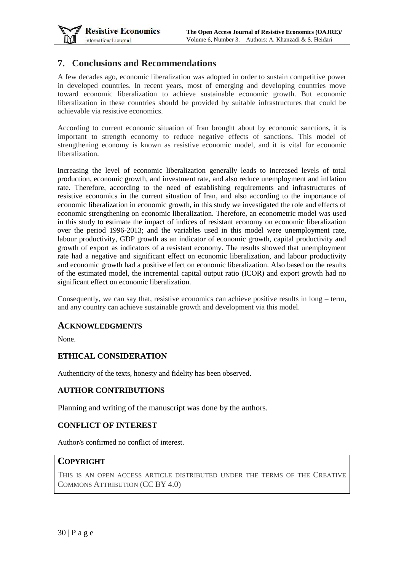## **7. Conclusions and Recommendations**

**Resistive Economics** 

International Journal

A few decades ago, economic liberalization was adopted in order to sustain competitive power in developed countries. In recent years, most of emerging and developing countries move toward economic liberalization to achieve sustainable economic growth. But economic liberalization in these countries should be provided by suitable infrastructures that could be achievable via resistive economics.

According to current economic situation of Iran brought about by economic sanctions, it is important to strength economy to reduce negative effects of sanctions. This model of strengthening economy is known as resistive economic model, and it is vital for economic liberalization.

Increasing the level of economic liberalization generally leads to increased levels of total production, economic growth, and investment rate, and also reduce unemployment and inflation rate. Therefore, according to the need of establishing requirements and infrastructures of resistive economics in the current situation of Iran, and also according to the importance of economic liberalization in economic growth, in this study we investigated the role and effects of economic strengthening on economic liberalization. Therefore, an econometric model was used in this study to estimate the impact of indices of resistant economy on economic liberalization over the period 1996-2013; and the variables used in this model were unemployment rate, labour productivity, GDP growth as an indicator of economic growth, capital productivity and growth of export as indicators of a resistant economy. The results showed that unemployment rate had a negative and significant effect on economic liberalization, and labour productivity and economic growth had a positive effect on economic liberalization. Also based on the results of the estimated model, the incremental capital output ratio (ICOR) and export growth had no significant effect on economic liberalization.

Consequently, we can say that, resistive economics can achieve positive results in long – term, and any country can achieve sustainable growth and development via this model.

## **ACKNOWLEDGMENTS**

None.

## **ETHICAL CONSIDERATION**

Authenticity of the texts, honesty and fidelity has been observed.

## **AUTHOR CONTRIBUTIONS**

Planning and writing of the manuscript was done by the authors.

## **CONFLICT OF INTEREST**

Author/s confirmed no conflict of interest.

## **COPYRIGHT**

THIS IS AN OPEN ACCESS ARTICLE DISTRIBUTED UNDER THE TERMS OF THE CREATIVE COMMONS ATTRIBUTION (CC BY 4.0)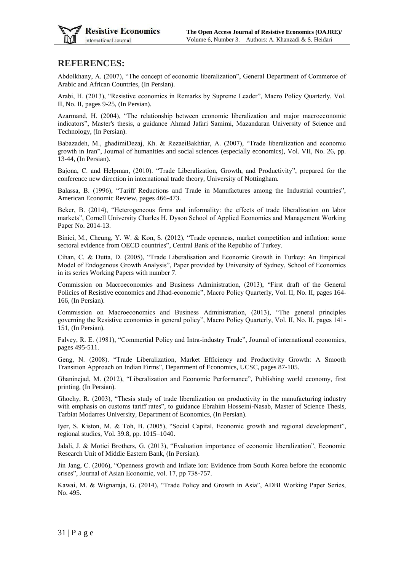# **REFERENCES:**

Abdolkhany, A. (2007), "The concept of economic liberalization", General Department of Commerce of Arabic and African Countries, (In Persian).

Arabi, H. (2013), "Resistive economics in Remarks by Supreme Leader", Macro Policy Quarterly, Vol. II, No. II, pages 9-25, (In Persian).

Azarmand, H. (2004), "The relationship between economic liberalization and major macroeconomic indicators", Master's thesis, a guidance Ahmad Jafari Samimi, Mazandaran University of Science and Technology, (In Persian).

Babazadeh, M., ghadimiDezaj, Kh. & RezaeiBakhtiar, A. (2007), "Trade liberalization and economic growth in Iran", Journal of humanities and social sciences (especially economics), Vol. VII, No. 26, pp. 13-44, (In Persian).

Bajona, C. and Helpman, (2010). "Trade Liberalization, Growth, and Productivity", prepared for the conference new direction in international trade theory, University of Nottingham.

Balassa, B. (1996), "Tariff Reductions and Trade in Manufactures among the Industrial countries", American Economic Review, pages 466-473.

Beker, B. (2014), "Heterogeneous firms and informality: the effects of trade liberalization on labor markets", Cornell University Charles H. Dyson School of Applied Economics and Management Working Paper No. 2014-13.

Binici, M., Cheung, Y. W. & Kon, S. (2012), "Trade openness, market competition and inflation: some sectoral evidence from OECD countries", Central Bank of the Republic of Turkey.

Cihan, C. & Dutta, D. (2005), "Trade Liberalisation and Economic Growth in Turkey: An Empirical Model of Endogenous Growth Analysis", Paper provided by University of Sydney, School of Economics in its series [Working Papers](https://ideas.repec.org/s/syd/wpaper.html) with number 7.

Commission on Macroeconomics and Business Administration, (2013), "First draft of the General Policies of Resistive economics and Jihad-economic", Macro Policy Quarterly, Vol. II, No. II, pages 164- 166, (In Persian).

Commission on Macroeconomics and Business Administration, (2013), "The general principles governing the Resistive economics in general policy", Macro Policy Quarterly, Vol. II, No. II, pages 141- 151, (In Persian).

Falvey, R. E. (1981), "Commertial Policy and Intra-industry Trade", Journal of international economics, pages 495-511.

Geng, N. (2008). "Trade Liberalization, Market Efficiency and Productivity Growth: A Smooth Transition Approach on Indian Firms", Department of Economics, UCSC, pages 87-105.

Ghaninejad, M. (2012), "Liberalization and Economic Performance", Publishing world economy, first printing, (In Persian).

Ghochy, R. (2003), "Thesis study of trade liberalization on productivity in the manufacturing industry with emphasis on customs tariff rates", to guidance Ebrahim Hosseini-Nasab, Master of Science Thesis, Tarbiat Modarres University, Department of Economics, (In Persian).

Iyer, S. Kiston, M. & Toh, B. (2005), "Social Capital, Economic growth and regional development", regional studies, Vol. 39.8, pp. 1015–1040.

Jalali, J. & Motiei Brothers, G. (2013), "Evaluation importance of economic liberalization", Economic Research Unit of Middle Eastern Bank, (In Persian).

Jin Jang, C. (2006), "Openness growth and inflate ion: Evidence from South Korea before the economic crises", Journal of Asian Economic, vol. 17, pp 738-757.

Kawai, M. & Wignaraja, G. (2014), "Trade Policy and Growth in Asia", ADBI Working Paper Series, No. 495.